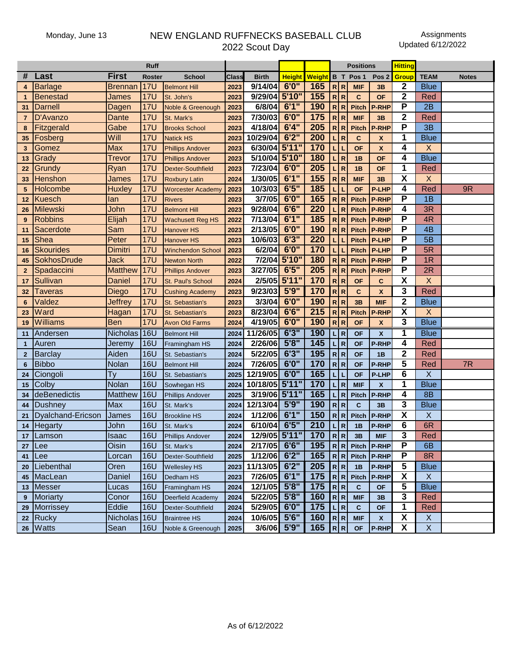## Monday, June 13 NEW ENGLAND RUFFNECKS BASEBALL CLUB 2022 Scout Day

|                  |                   |                 | <b>Ruff</b>   |                          |       |                 |               |             |                  |              | <b>Positions</b> |                           | <b>Hitting</b>          |                           |              |
|------------------|-------------------|-----------------|---------------|--------------------------|-------|-----------------|---------------|-------------|------------------|--------------|------------------|---------------------------|-------------------------|---------------------------|--------------|
| #                | Last              | <b>First</b>    | <b>Roster</b> | <b>School</b>            | Class | <b>Birth</b>    | <b>Height</b> | Weight B T  |                  |              | Pos <sub>1</sub> | Pos <sub>2</sub>          | <b>Group</b>            | <b>TEAM</b>               | <b>Notes</b> |
| $\boldsymbol{4}$ | <b>Barlage</b>    | <b>Brennan</b>  | <b>17U</b>    | <b>Belmont Hill</b>      | 2023  | 9/14/04         | 6'0''         | 165         | R R              |              | <b>MIF</b>       | 3B                        | 2                       | <b>Blue</b>               |              |
|                  | <b>Benestad</b>   | James           | <b>17U</b>    | St. John's               | 2023  | 9/29/04         | 5'10"         | 155         | R R              |              | $\mathbf{C}$     | <b>OF</b>                 | $\mathbf 2$             | Red                       |              |
| 31               | <b>Darnell</b>    | Dagen           | <b>17U</b>    | Noble & Greenough        | 2023  | 6/8/04          | 6'1''         | 190         | R R              |              | <b>Pitch</b>     | <b>P-RHP</b>              | P                       | 2B                        |              |
| 7                | D'Avanzo          | <b>Dante</b>    | <b>17U</b>    | St. Mark's               | 2023  | 7/30/03         | 6'0''         | 175         | R R              |              | <b>MIF</b>       | 3B                        | $\overline{\mathbf{2}}$ | Red                       |              |
| 8                | Fitzgerald        | Gabe            | <b>17U</b>    | <b>Brooks School</b>     | 2023  | 4/18/04         | 6'4''         | 205         | R R              |              | <b>Pitch</b>     | <b>P-RHP</b>              | P                       | 3B                        |              |
| 35               | Fosberg           | Will            | <b>17U</b>    | <b>Natick HS</b>         | 2023  | 10/29/04        | 6'2''         | 200         | L                | R            | $\mathbf{C}$     | X                         | 1                       | <b>Blue</b>               |              |
| 3                | Gomez             | Max             | <b>17U</b>    | <b>Phillips Andover</b>  | 2023  | 6/30/04         | 5'11"         | 170         | L                | L            | <b>OF</b>        | $\mathbf{x}$              | 4                       | X                         |              |
| 13               | Grady             | Trevor          | <b>17U</b>    | <b>Phillips Andover</b>  | 2023  | 5/10/04         | 5'10"         | 180         | L                | R            | 1B               | <b>OF</b>                 | 4                       | <b>Blue</b>               |              |
| 22               | Grundy            | Ryan            | <b>17U</b>    | Dexter-Southfield        | 2023  | 7/23/04         | 6'0''         | 205         | L                | R            | 1B               | <b>OF</b>                 | 1                       | Red                       |              |
| 33               | Henshon           | James           | <b>17U</b>    | <b>Roxbury Latin</b>     | 2024  | 1/30/05         | 6'1''         | 155         | ${\sf R}$        | $\mathbb{R}$ | <b>MIF</b>       | 3B                        | $\overline{\mathbf{X}}$ | X                         |              |
| 5                | Holcombe          | <b>Huxley</b>   | <b>17U</b>    | Worcester Academy        | 2023  | 10/3/03         | 6'5''         | 185         |                  |              | <b>OF</b>        | <b>P-LHP</b>              | 4                       | Red                       | 9R           |
| 12               | <b>Kuesch</b>     | lan             | <b>17U</b>    | <b>Rivers</b>            | 2023  | 3/7/05          | 6'0''         | 165         | $\mathsf{R}$     | $\mathsf{R}$ | <b>Pitch</b>     | <b>P-RHP</b>              | P                       | 1B                        |              |
| 26               | <b>Milewski</b>   | John            | <b>17U</b>    | <b>Belmont Hill</b>      | 2023  | 9/28/04         | 6'6''         | 220         |                  | R            | <b>Pitch</b>     | <b>P-RHP</b>              | 4                       | 3R                        |              |
| 9                | <b>Robbins</b>    | Elijah          | <b>17U</b>    | <b>Wachusett Reg HS</b>  | 2022  | 7/13/04         | 6'1''         | 185         | R R              |              | <b>Pitch</b>     | <b>P-RHP</b>              | P                       | 4R                        |              |
| 11               | Sacerdote         | Sam             | <b>17U</b>    | <b>Hanover HS</b>        | 2023  | 2/13/05         | 6'0''         | 190         | R R              |              | <b>Pitch</b>     | <b>P-RHP</b>              | P                       | 4 <sub>B</sub>            |              |
| 15               | Shea              | Peter           | <b>17U</b>    | <b>Hanover HS</b>        | 2023  | 10/6/03         | 6'3''         | 220         |                  |              | <b>Pitch</b>     | <b>P-LHP</b>              | $\overline{\mathsf{P}}$ | 5B                        |              |
| 16               | <b>Skourides</b>  | Dimitri         | <b>17U</b>    | <b>Winchendon School</b> | 2023  | 6/2/04          | 6'0''         | 170         |                  |              | <b>Pitch</b>     | <b>P-LHP</b>              | P                       | 5R                        |              |
| 45               | SokhosDrude       | Jack            | <b>17U</b>    | <b>Newton North</b>      | 2022  | 7/2/04          | 5'10"         | 180         | R R              |              | <b>Pitch</b>     | <b>P-RHP</b>              | P                       | 1R                        |              |
| $\mathbf{2}$     | Spadaccini        | <b>Matthew</b>  | <b>17U</b>    | <b>Phillips Andover</b>  | 2023  | 3/27/05         | 6'5''         | 205         | R R              |              | <b>Pitch</b>     | <b>P-RHP</b>              | P                       | 2R                        |              |
| 17               | Sullivan          | Daniel          | <b>17U</b>    | St. Paul's School        | 2024  | 2/5/05          | 5'11"         | 170         | R R              |              | <b>OF</b>        | C                         | $\overline{\textsf{x}}$ | X                         |              |
| 32               | Taveras           | <b>Diego</b>    | <b>17U</b>    | <b>Cushing Academy</b>   | 2023  | 9/23/03         | 5'9''         | 170         | R R              |              | C                | X                         | 3                       | Red                       |              |
| 6                | Valdez            | Jeffrey         | <b>17U</b>    | St. Sebastian's          | 2023  | 3/3/04          | 6'0''         | 190         | R R              |              | 3B               | <b>MIF</b>                | $\overline{2}$          | <b>Blue</b>               |              |
| 23               | Ward              | Hagan           | <b>17U</b>    | St. Sebastian's          | 2023  | 8/23/04         | 6'6''         | 215         | R R              |              | <b>Pitch</b>     | <b>P-RHP</b>              | $\overline{\mathbf{X}}$ | $\mathsf X$               |              |
| 19               | <b>Williams</b>   | <b>Ben</b>      | <b>17U</b>    | <b>Avon Old Farms</b>    | 2024  | 4/19/05         | 6'0''         | 190         | R R              |              | <b>OF</b>        | $\boldsymbol{\mathsf{x}}$ | 3                       | <b>Blue</b>               |              |
| 11               | Andersen          | <b>Nicholas</b> | 16U           | <b>Belmont Hill</b>      | 2024  | 11/26/05        | 6'3''         | 190         | L                | $\mathbb{R}$ | <b>OF</b>        | X                         | 1                       | <b>Blue</b>               |              |
| $\mathbf{1}$     | Auren             | Jeremy          | <b>16U</b>    | Framingham HS            | 2024  | 2/26/06         | 5'8''         | 145         | L                | $\mathsf{R}$ | <b>OF</b>        | <b>P-RHP</b>              | 4                       | Red                       |              |
| $\mathbf{2}$     | <b>Barclay</b>    | Aiden           | <b>16U</b>    | St. Sebastian's          | 2024  | 5/22/05         | 6'3''         | 195         | R R              |              | <b>OF</b>        | 1B                        | $\mathbf{2}$            | Red                       |              |
| 6                | <b>Bibbo</b>      | Nolan           | <b>16U</b>    | <b>Belmont Hill</b>      | 2024  | 7/26/05         | 6'0''         | 170         | R R              |              | <b>OF</b>        | <b>P-RHP</b>              | 5                       | Red                       | 7R           |
| 24               | Ciongoli          | Ty              | <b>16U</b>    | St. Sebastian's          | 2025  | 12/19/05        | 6'0''         | 165         | L                |              | <b>OF</b>        | <b>P-LHP</b>              | $\overline{6}$          | X                         |              |
| 15               | Colby             | Nolan           | <b>16U</b>    | Sowhegan HS              | 2024  | 10/18/05        | 5'11"         | 170         | L                | R            | <b>MIF</b>       | X                         | 1                       | <b>Blue</b>               |              |
| 34               | deBenedictis      | <b>Matthew</b>  | <b>16U</b>    | <b>Phillips Andover</b>  | 2025  | 3/19/06 5'11"   |               | 165         | L                | R            | <b>Pitch</b>     | <b>P-RHP</b>              | 4                       | <b>8B</b>                 |              |
| 44               | <b>Dushney</b>    | Max             | <b>16U</b>    | St. Mark's               | 2024  | 12/13/04        | 5'9''         | 190         | R R              |              | C                | 3B                        | 3                       | <b>Blue</b>               |              |
| 21               | Dyalchand-Ericson | James           | <b>16U</b>    | <b>Brookline HS</b>      | 2024  | 1/12/06         | 6'1''         | 150         | $\mathsf{R}$     | $\mathsf{R}$ | <b>Pitch</b>     | <b>P-RHP</b>              | $\overline{\mathbf{X}}$ | X                         |              |
| 14               | Hegarty           | John            | <b>16U</b>    | St. Mark's               | 2024  | 6/10/04         | 6'5''         | 210         |                  | R            | 1B               | <b>P-RHP</b>              | 6                       | 6R                        |              |
|                  | 17   Lamson       | Isaac           | 16U           | <b>Phillips Andover</b>  | 2024  | $12/9/05$ 5'11" |               | 170 $ R R $ |                  |              | 3B               | <b>MIF</b>                | 3                       | Red                       |              |
| 27               | ILee              | Oisin           | 16U           | St. Mark's               | 2024  | 2/17/05 6'6"    |               | 195         | R R              |              | Pitch            | <b>P-RHP</b>              | Р                       | 6 <sub>B</sub>            |              |
| 41               | ILee              | Lorcan          | <b>16U</b>    | Dexter-Southfield        | 2025  | 1/12/06 6'2"    |               | 165         | R R              |              |                  | Pitch   P-RHP             | Р                       | 8R                        |              |
| 20               | Liebenthal        | Oren            | <b>16U</b>    | <b>Wellesley HS</b>      | 2023  | 11/13/05        | 6'2''         | 205         | $R$ $R$          |              | 1B               | <b>P-RHP</b>              | 5                       | <b>Blue</b>               |              |
| 45               | MacLean           | Daniel          | 16U           | Dedham HS                | 2023  | 7/26/05         | 6'1''         | $175$       | R R              |              | Pitch            | <b>P-RHP</b>              | $\overline{\mathbf{X}}$ | $\mathsf{X}$              |              |
| 13               | Messer            | Lucas           | <b>16U</b>    | Framingham HS            | 2024  | 12/1/05         | 5'8''         | $175$       | $R$ <sub>R</sub> |              | $\mathbf{C}$     | <b>OF</b>                 | 5                       | <b>Blue</b>               |              |
| 9                | Moriarty          | Conor           | <b>16U</b>    | Deerfield Academy        | 2024  | 5/22/05         | 5'8''         | 160         | R R              |              | <b>MIF</b>       | 3B                        | 3                       | Red                       |              |
| 29               | Morrissey         | Eddie           | <b>16U</b>    | Dexter-Southfield        | 2024  | 5/29/05         | 6'0''         | 175         | L R              |              | C                | ΟF                        | 1                       | Red                       |              |
| 22               | <b>Rucky</b>      | <b>Nicholas</b> | 16U           | <b>Braintree HS</b>      | 2024  | 10/6/05         | 5'6''         | 160         | R R              |              | <b>MIF</b>       | $\boldsymbol{x}$          | $\overline{\mathbf{X}}$ | $\boldsymbol{\mathsf{X}}$ |              |
| 26               | <b>Watts</b>      | Sean            | 16U           | Noble & Greenough        | 2025  | 3/6/06 5'9"     |               | 165         | R R              |              | <b>OF</b>        | P-RHP                     | X                       | $\mathsf X$               |              |